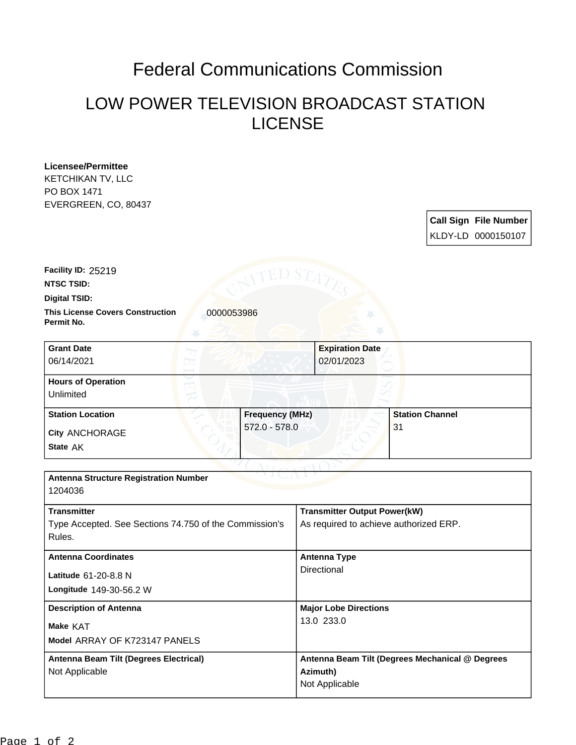## Federal Communications Commission

## LOW POWER TELEVISION BROADCAST STATION LICENSE

| <b>Licensee/Permittee</b>                                           |                          |                                            |                                                 |
|---------------------------------------------------------------------|--------------------------|--------------------------------------------|-------------------------------------------------|
| KETCHIKAN TV, LLC                                                   |                          |                                            |                                                 |
| PO BOX 1471                                                         |                          |                                            |                                                 |
| EVERGREEN, CO, 80437                                                |                          |                                            |                                                 |
|                                                                     |                          |                                            | <b>Call Sign File Number</b>                    |
|                                                                     |                          |                                            | KLDY-LD 0000150107                              |
|                                                                     |                          |                                            |                                                 |
| Facility ID: 25219                                                  | ED S $\scriptstyle\rm T$ |                                            |                                                 |
| <b>NTSC TSID:</b>                                                   |                          |                                            |                                                 |
| <b>Digital TSID:</b>                                                |                          |                                            |                                                 |
| <b>This License Covers Construction</b><br>0000053986<br>Permit No. |                          |                                            |                                                 |
| <b>Grant Date</b>                                                   |                          | <b>Expiration Date</b>                     |                                                 |
| 06/14/2021                                                          |                          | 02/01/2023                                 |                                                 |
| <b>Hours of Operation</b>                                           |                          |                                            |                                                 |
| Unlimited                                                           |                          |                                            |                                                 |
| <b>Station Location</b>                                             | <b>Frequency (MHz)</b>   |                                            | <b>Station Channel</b>                          |
| <b>City ANCHORAGE</b>                                               | 572.0 - 578.0            |                                            | 31                                              |
| State AK                                                            |                          |                                            |                                                 |
|                                                                     |                          |                                            |                                                 |
| <b>Antenna Structure Registration Number</b>                        |                          |                                            |                                                 |
| 1204036                                                             |                          |                                            |                                                 |
| <b>Transmitter</b>                                                  |                          | <b>Transmitter Output Power(kW)</b>        |                                                 |
| Type Accepted. See Sections 74.750 of the Commission's              |                          | As required to achieve authorized ERP.     |                                                 |
| Rules.                                                              |                          |                                            |                                                 |
| <b>Antenna Coordinates</b>                                          |                          | <b>Antenna Type</b>                        |                                                 |
| Latitude 61-20-8.8 N                                                |                          | Directional                                |                                                 |
| Longitude 149-30-56.2 W                                             |                          |                                            |                                                 |
| <b>Description of Antenna</b>                                       |                          |                                            |                                                 |
|                                                                     |                          | <b>Major Lobe Directions</b><br>13.0 233.0 |                                                 |
| Make KAT                                                            |                          |                                            |                                                 |
| Model ARRAY OF K723147 PANELS                                       |                          |                                            |                                                 |
| Antenna Beam Tilt (Degrees Electrical)                              |                          |                                            | Antenna Beam Tilt (Degrees Mechanical @ Degrees |
| Not Applicable                                                      |                          | Azimuth)                                   |                                                 |
|                                                                     |                          | Not Applicable                             |                                                 |